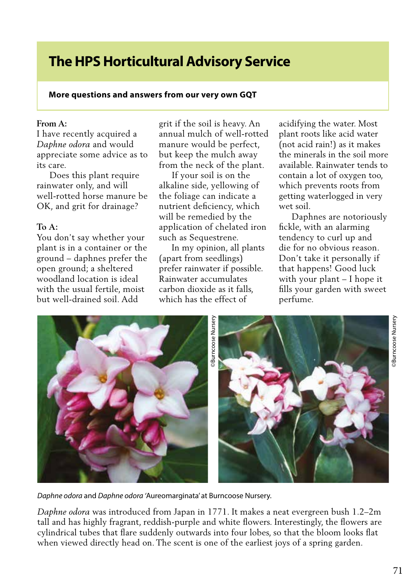# **The HPS Horticultural Advisory Service**

### **More questions and answers from our very own GQT**

#### **From A:**

I have recently acquired a *Daphne odora* and would appreciate some advice as to its care.

 Does this plant require rainwater only, and will well-rotted horse manure be OK, and grit for drainage?

## **To A:**

You don't say whether your plant is in a container or the ground – daphnes prefer the open ground; a sheltered woodland location is ideal with the usual fertile, moist but well-drained soil. Add

grit if the soil is heavy. An annual mulch of well-rotted manure would be perfect, but keep the mulch away from the neck of the plant.

 If your soil is on the alkaline side, yellowing of the foliage can indicate a nutrient deficiency, which will be remedied by the application of chelated iron such as Sequestrene.

 In my opinion, all plants (apart from seedlings) prefer rainwater if possible. Rainwater accumulates carbon dioxide as it falls, which has the effect of

acidifying the water. Most plant roots like acid water (not acid rain!) as it makes the minerals in the soil more available. Rainwater tends to contain a lot of oxygen too, which prevents roots from getting waterlogged in very wet soil.

 Daphnes are notoriously fickle, with an alarming tendency to curl up and die for no obvious reason. Don't take it personally if that happens! Good luck with your plant – I hope it fills your garden with sweet perfume.



*Daphne odora* and *Daphne odora '*Aureomarginata' at Burncoose Nursery.

*Daphne odora* was introduced from Japan in 1771. It makes a neat evergreen bush 1.2–2m tall and has highly fragrant, reddish-purple and white flowers. Interestingly, the flowers are cylindrical tubes that flare suddenly outwards into four lobes, so that the bloom looks flat